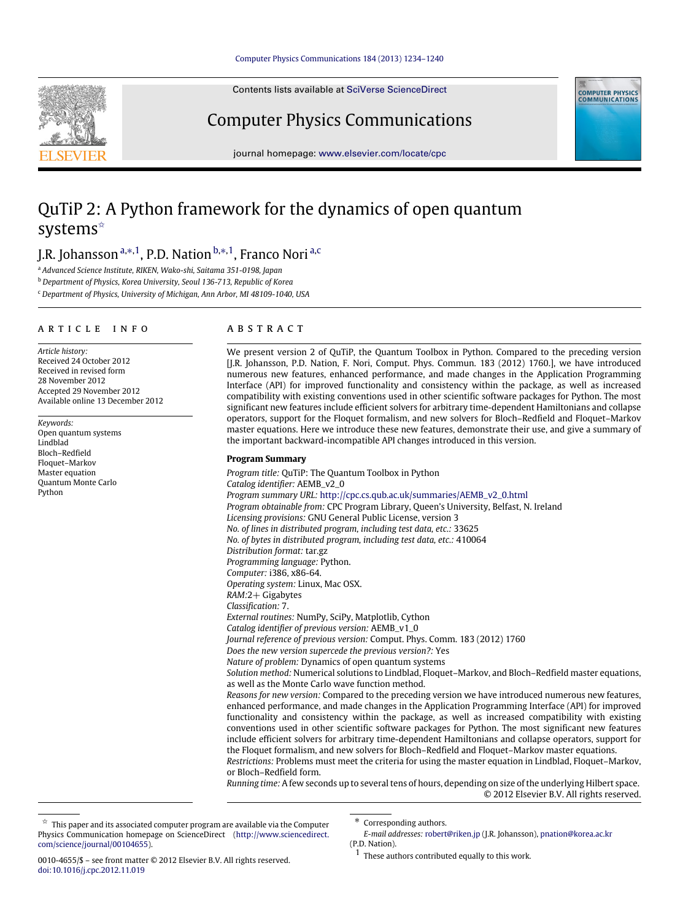Contents lists available at [SciVerse ScienceDirect](http://www.elsevier.com/locate/cpc)

# Computer Physics Communications

journal homepage: [www.elsevier.com/locate/cpc](http://www.elsevier.com/locate/cpc)

# QuTiP 2: A Python framework for the dynamics of open quantum systems<sup>☆</sup>

# J.R. Johansson <sup>[a,](#page-0-1)[∗](#page-0-2)[,1](#page-0-3)</sup>, P.D. Nation <sup>[b,](#page-0-4)</sup>∗<sup>,1</sup>, Fr[a](#page-0-1)nco Nori <sup>a[,c](#page-0-5)</sup>

<span id="page-0-1"></span><sup>a</sup> *Advanced Science Institute, RIKEN, Wako-shi, Saitama 351-0198, Japan*

<span id="page-0-4"></span><sup>b</sup> *Department of Physics, Korea University, Seoul 136-713, Republic of Korea*

<span id="page-0-5"></span><sup>c</sup> *Department of Physics, University of Michigan, Ann Arbor, MI 48109-1040, USA*

#### a r t i c l e i n f o

*Article history:* Received 24 October 2012 Received in revised form 28 November 2012 Accepted 29 November 2012 Available online 13 December 2012

*Keywords:* Open quantum systems Lindblad Bloch–Redfield Floquet–Markov Master equation Quantum Monte Carlo Python

## A B S T R A C T

We present version 2 of QuTiP, the Quantum Toolbox in Python. Compared to the preceding version [J.R. Johansson, P.D. Nation, F. Nori, Comput. Phys. Commun. 183 (2012) 1760.], we have introduced numerous new features, enhanced performance, and made changes in the Application Programming Interface (API) for improved functionality and consistency within the package, as well as increased compatibility with existing conventions used in other scientific software packages for Python. The most significant new features include efficient solvers for arbitrary time-dependent Hamiltonians and collapse operators, support for the Floquet formalism, and new solvers for Bloch–Redfield and Floquet–Markov master equations. Here we introduce these new features, demonstrate their use, and give a summary of the important backward-incompatible API changes introduced in this version.

#### **Program Summary**

*Program title:* QuTiP: The Quantum Toolbox in Python *Catalog identifier:* AEMB\_v2\_0 *Program summary URL:* [http://cpc.cs.qub.ac.uk/summaries/AEMB\\_v2\\_0.html](http://cpc.cs.qub.ac.uk/summaries/AEMB_v2_0.html) *Program obtainable from:* CPC Program Library, Queen's University, Belfast, N. Ireland *Licensing provisions:* GNU General Public License, version 3 *No. of lines in distributed program, including test data, etc.:* 33625 *No. of bytes in distributed program, including test data, etc.:* 410064 *Distribution format:* tar.gz *Programming language:* Python. *Computer:* i386, x86-64. *Operating system:* Linux, Mac OSX. *RAM:*2+ Gigabytes *Classification:* 7. *External routines:* NumPy, SciPy, Matplotlib, Cython *Catalog identifier of previous version:* AEMB\_v1\_0 *Journal reference of previous version:* Comput. Phys. Comm. 183 (2012) 1760 *Does the new version supercede the previous version?:* Yes *Nature of problem:* Dynamics of open quantum systems *Solution method:* Numerical solutions to Lindblad, Floquet–Markov, and Bloch–Redfield master equations, as well as the Monte Carlo wave function method. *Reasons for new version:* Compared to the preceding version we have introduced numerous new features, enhanced performance, and made changes in the Application Programming Interface (API) for improved functionality and consistency within the package, as well as increased compatibility with existing conventions used in other scientific software packages for Python. The most significant new features include efficient solvers for arbitrary time-dependent Hamiltonians and collapse operators, support for the Floquet formalism, and new solvers for Bloch–Redfield and Floquet–Markov master equations. *Restrictions:* Problems must meet the criteria for using the master equation in Lindblad, Floquet–Markov, or Bloch–Redfield form.

*Running time:* A few seconds up to several tens of hours, depending on size of the underlying Hilbert space. © 2012 Elsevier B.V. All rights reserved.

*E-mail addresses:* [robert@riken.jp](mailto:robert@riken.jp) (J.R. Johansson), [pnation@korea.ac.kr](mailto:pnation@korea.ac.kr) (P.D. Nation).





<span id="page-0-0"></span> $\overrightarrow{x}$  This paper and its associated computer program are available via the Computer Physics Communication homepage on ScienceDirect [\(http://www.sciencedirect.](http://www.sciencedirect.com/science/journal/00104655) [com/science/journal/00104655\)](http://www.sciencedirect.com/science/journal/00104655).

<sup>0010-4655/\$ –</sup> see front matter © 2012 Elsevier B.V. All rights reserved.  $1$  These authors contributed equally to this work. [doi:10.1016/j.cpc.2012.11.019](http://dx.doi.org/10.1016/j.cpc.2012.11.019)

<span id="page-0-2"></span>Corresponding authors.

<span id="page-0-3"></span>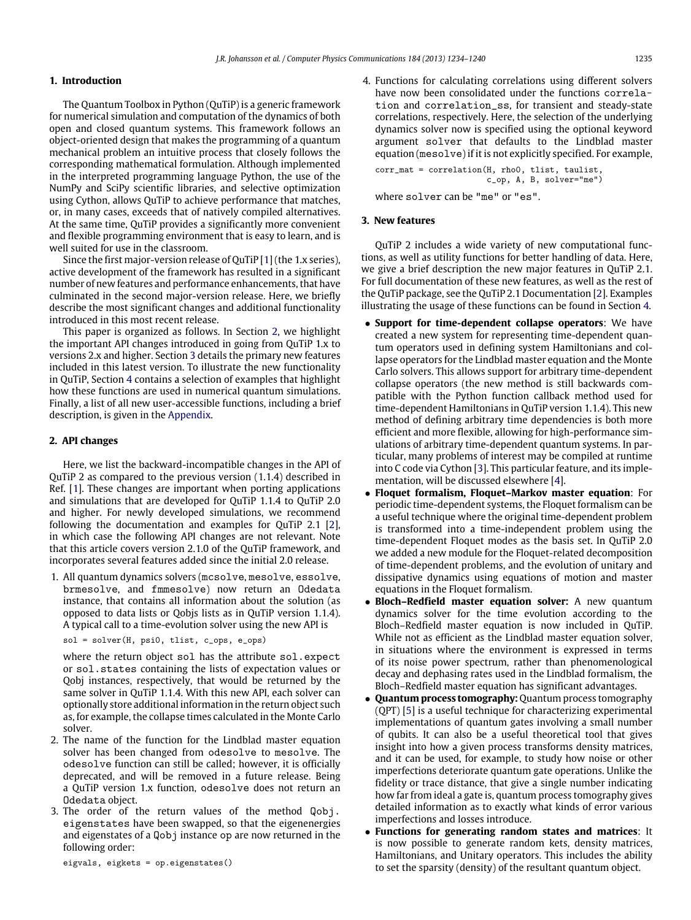# **1. Introduction**

The Quantum Toolbox in Python (QuTiP) is a generic framework for numerical simulation and computation of the dynamics of both open and closed quantum systems. This framework follows an object-oriented design that makes the programming of a quantum mechanical problem an intuitive process that closely follows the corresponding mathematical formulation. Although implemented in the interpreted programming language Python, the use of the NumPy and SciPy scientific libraries, and selective optimization using Cython, allows QuTiP to achieve performance that matches, or, in many cases, exceeds that of natively compiled alternatives. At the same time, QuTiP provides a significantly more convenient and flexible programming environment that is easy to learn, and is well suited for use in the classroom.

Since the first major-version release of QuTiP [\[1\]](#page-6-0) (the 1.x series), active development of the framework has resulted in a significant number of new features and performance enhancements, that have culminated in the second major-version release. Here, we briefly describe the most significant changes and additional functionality introduced in this most recent release.

This paper is organized as follows. In Section [2,](#page-1-0) we highlight the important API changes introduced in going from QuTiP 1.x to versions 2.x and higher. Section [3](#page-1-1) details the primary new features included in this latest version. To illustrate the new functionality in QuTiP, Section [4](#page-2-0) contains a selection of examples that highlight how these functions are used in numerical quantum simulations. Finally, a list of all new user-accessible functions, including a brief description, is given in the [Appendix.](#page-6-1)

#### <span id="page-1-0"></span>**2. API changes**

Here, we list the backward-incompatible changes in the API of QuTiP 2 as compared to the previous version (1.1.4) described in Ref. [\[1\]](#page-6-0). These changes are important when porting applications and simulations that are developed for QuTiP 1.1.4 to QuTiP 2.0 and higher. For newly developed simulations, we recommend following the documentation and examples for QuTiP 2.1 [\[2\]](#page-6-2), in which case the following API changes are not relevant. Note that this article covers version 2.1.0 of the QuTiP framework, and incorporates several features added since the initial 2.0 release.

1. All quantum dynamics solvers (mcsolve, mesolve, essolve, brmesolve, and fmmesolve) now return an Odedata instance, that contains all information about the solution (as opposed to data lists or Qobjs lists as in QuTiP version 1.1.4). A typical call to a time-evolution solver using the new API is

sol = solver(H, psi0, tlist, c\_ops, e\_ops)

where the return object sol has the attribute sol.expect or sol.states containing the lists of expectation values or Qobj instances, respectively, that would be returned by the same solver in QuTiP 1.1.4. With this new API, each solver can optionally store additional information in the return object such as, for example, the collapse times calculated in the Monte Carlo solver.

- 2. The name of the function for the Lindblad master equation solver has been changed from odesolve to mesolve. The odesolve function can still be called; however, it is officially deprecated, and will be removed in a future release. Being a QuTiP version 1.x function, odesolve does not return an Odedata object.
- 3. The order of the return values of the method Qobj. eigenstates have been swapped, so that the eigenenergies and eigenstates of a Qobj instance op are now returned in the following order:

eigvals, eigkets = op.eigenstates()

4. Functions for calculating correlations using different solvers have now been consolidated under the functions correlation and correlation\_ss, for transient and steady-state correlations, respectively. Here, the selection of the underlying dynamics solver now is specified using the optional keyword argument solver that defaults to the Lindblad master equation (mesolve) if it is not explicitly specified. For example,

corr\_mat = correlation(H, rho0, tlist, taulist, c\_op, A, B, solver="me")

where solver can be "me" or "es".

# <span id="page-1-1"></span>**3. New features**

QuTiP 2 includes a wide variety of new computational functions, as well as utility functions for better handling of data. Here, we give a brief description the new major features in QuTiP 2.1. For full documentation of these new features, as well as the rest of the QuTiP package, see the QuTiP 2.1 Documentation [\[2\]](#page-6-2). Examples illustrating the usage of these functions can be found in Section [4.](#page-2-0)

- **Support for time-dependent collapse operators**: We have created a new system for representing time-dependent quantum operators used in defining system Hamiltonians and collapse operators for the Lindblad master equation and the Monte Carlo solvers. This allows support for arbitrary time-dependent collapse operators (the new method is still backwards compatible with the Python function callback method used for time-dependent Hamiltonians in QuTiP version 1.1.4). This new method of defining arbitrary time dependencies is both more efficient and more flexible, allowing for high-performance simulations of arbitrary time-dependent quantum systems. In particular, many problems of interest may be compiled at runtime into C code via Cython [\[3\]](#page-6-3). This particular feature, and its implementation, will be discussed elsewhere [\[4\]](#page-6-4).
- **Floquet formalism, Floquet–Markov master equation**: For periodic time-dependent systems, the Floquet formalism can be a useful technique where the original time-dependent problem is transformed into a time-independent problem using the time-dependent Floquet modes as the basis set. In QuTiP 2.0 we added a new module for the Floquet-related decomposition of time-dependent problems, and the evolution of unitary and dissipative dynamics using equations of motion and master equations in the Floquet formalism.
- **Bloch–Redfield master equation solver:** A new quantum dynamics solver for the time evolution according to the Bloch–Redfield master equation is now included in QuTiP. While not as efficient as the Lindblad master equation solver, in situations where the environment is expressed in terms of its noise power spectrum, rather than phenomenological decay and dephasing rates used in the Lindblad formalism, the Bloch–Redfield master equation has significant advantages.
- **Quantum process tomography:** Quantum process tomography (QPT) [\[5\]](#page-6-5) is a useful technique for characterizing experimental implementations of quantum gates involving a small number of qubits. It can also be a useful theoretical tool that gives insight into how a given process transforms density matrices, and it can be used, for example, to study how noise or other imperfections deteriorate quantum gate operations. Unlike the fidelity or trace distance, that give a single number indicating how far from ideal a gate is, quantum process tomography gives detailed information as to exactly what kinds of error various imperfections and losses introduce.
- **Functions for generating random states and matrices**: It is now possible to generate random kets, density matrices, Hamiltonians, and Unitary operators. This includes the ability to set the sparsity (density) of the resultant quantum object.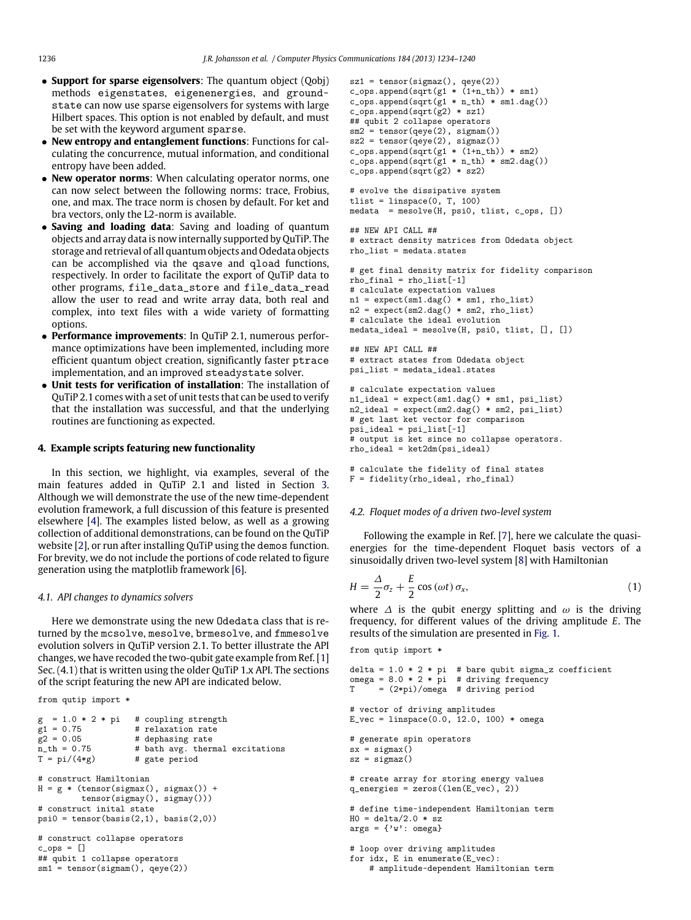- **Support for sparse eigensolvers**: The quantum object (Qobj) methods eigenstates, eigenenergies, and groundstate can now use sparse eigensolvers for systems with large Hilbert spaces. This option is not enabled by default, and must be set with the keyword argument sparse.
- **New entropy and entanglement functions**: Functions for calculating the concurrence, mutual information, and conditional entropy have been added.
- **New operator norms**: When calculating operator norms, one can now select between the following norms: trace, Frobius, one, and max. The trace norm is chosen by default. For ket and bra vectors, only the L2-norm is available.
- **Saving and loading data**: Saving and loading of quantum objects and array data is now internally supported by QuTiP. The storage and retrieval of all quantum objects and Odedata objects can be accomplished via the qsave and qload functions, respectively. In order to facilitate the export of QuTiP data to other programs, file\_data\_store and file\_data\_read allow the user to read and write array data, both real and complex, into text files with a wide variety of formatting options.
- **Performance improvements**: In QuTiP 2.1, numerous performance optimizations have been implemented, including more efficient quantum object creation, significantly faster ptrace implementation, and an improved steadystate solver.
- **Unit tests for verification of installation**: The installation of QuTiP 2.1 comes with a set of unit tests that can be used to verify that the installation was successful, and that the underlying routines are functioning as expected.

## <span id="page-2-0"></span>**4. Example scripts featuring new functionality**

In this section, we highlight, via examples, several of the main features added in QuTiP 2.1 and listed in Section [3.](#page-1-1) Although we will demonstrate the use of the new time-dependent evolution framework, a full discussion of this feature is presented elsewhere [\[4\]](#page-6-4). The examples listed below, as well as a growing collection of additional demonstrations, can be found on the QuTiP website [\[2\]](#page-6-2), or run after installing QuTiP using the demos function. For brevity, we do not include the portions of code related to figure generation using the matplotlib framework [\[6\]](#page-6-6).

#### *4.1. API changes to dynamics solvers*

Here we demonstrate using the new Odedata class that is returned by the mcsolve, mesolve, brmesolve, and fmmesolve evolution solvers in QuTiP version 2.1. To better illustrate the API changes, we have recoded the two-qubit gate example from Ref. [\[1\]](#page-6-0) Sec. (4.1) that is written using the older QuTiP 1.x API. The sections of the script featuring the new API are indicated below.

```
from qutip import *
```

```
g = 1.0 * 2 * pi # coupling strength<br>g1 = 0.75 # relaxation rateg1 = 0.75 # relaxation rate<br>g2 = 0.05 # dephasing rate
g2 = 0.05 # dephasing rate<br>n_th = 0.75 # bath avg. there
n_th = 0.75 # bath avg. thermal excitations<br>T = pi/(4*g) # gate period
                       # gate period
# construct Hamiltonian
H = g * (tensor(sigma()) +tensor(sigmay(), sigmay()))
# construct inital state
psi = tensor(basis(2,1), basis(2,0))# construct collapse operators
c_{ops} = []## qubit 1 collapse operators
sm1 = tensor(signam(), qeye(2))
```

```
sz1 = tensor(sigmaz(), qeye(2))
c_{\texttt{ops.append}}(sqrt(c_1 * (1+n_{\texttt{th}})) * sm1)c_\text{obs.append(sqrt(g1 * n_th) * sm1.dag())c_{\texttt{-}ops.append(sqrt(g2) * sz1)}## qubit 2 collapse operators
sm2 = tensor(qeye(2), signam())sz2 = tensor(qeye(2), sigmaz())
c_{\texttt{ops.append}}(sqrt(g1 * (1+n_{\texttt{th}})) * sm2)c_\texttt{ops.append}(\texttt{sqrt}(g1 * n_\texttt{th}) * \texttt{sm2}.dag())
c_ops.append(sqrt(g2) * sz2)
# evolve the dissipative system
tlist = linspace(0, T, 100)medata = mesolve(H, psi0, tlist, c_ops, [])
## NEW API CALL ##
# extract density matrices from Odedata object
rho_list = medata.states
# get final density matrix for fidelity comparison
rho_final = rho_llist[-1]# calculate expectation values
n1 = expect(sm1.dag() * sm1, rho_list)
n2 = \text{expect}(\text{sm2.dag}() * \text{sm2}, \text{rho\_list})# calculate the ideal evolution
medata_ideal = mesolve(H, psi0, tlist, [], [])
## NEW API CALL ##
# extract states from Odedata object
psi_list = medata_ideal.states
# calculate expectation values
n1_ideal = expect(sm1.dag() * sm1, psi_list)
n2_ideal = expect(sm2.dag() * sm2, psi_list)
# get last ket vector for comparison
pi_ideal = psilist[-1]
\frac{1}{4} output is ket since no collapse operators.
```
# calculate the fidelity of final states

```
F = fidelity(rho_ideal, rho_final)
```
rho\_ideal = ket2dm(psi\_ideal)

#### *4.2. Floquet modes of a driven two-level system*

Following the example in Ref. [\[7\]](#page-6-7), here we calculate the quasienergies for the time-dependent Floquet basis vectors of a sinusoidally driven two-level system [\[8\]](#page-6-8) with Hamiltonian

$$
H = \frac{\Delta}{2}\sigma_z + \frac{E}{2}\cos\left(\omega t\right)\sigma_x,\tag{1}
$$

where  $\Delta$  is the qubit energy splitting and  $\omega$  is the driving frequency, for different values of the driving amplitude *E*. The results of the simulation are presented in [Fig. 1.](#page-3-0)

```
from qutip import *
```

```
delta = 1.0 * 2 * pi * bare qubit sigma_z coefficient
omega = 8.0 * 2 * pi # driving frequency
      = (2*pi)/</math>omega <math># driving period
# vector of driving amplitudes
E_{\text{v}}vec = linspace(0.0, 12.0, 100) * omega
# generate spin operators
sx = sigmax()sz = sigmax()# create array for storing energy values
q_{\text{energies}} = \text{zeros}((\text{len}(E_{\text{vec}}), 2))# define time-independent Hamiltonian term
HO = delta/2.0 * szargs = {'w': \text{omega}}# loop over driving amplitudes
for idx, E in enumerate(E_vec):
    # amplitude-dependent Hamiltonian term
```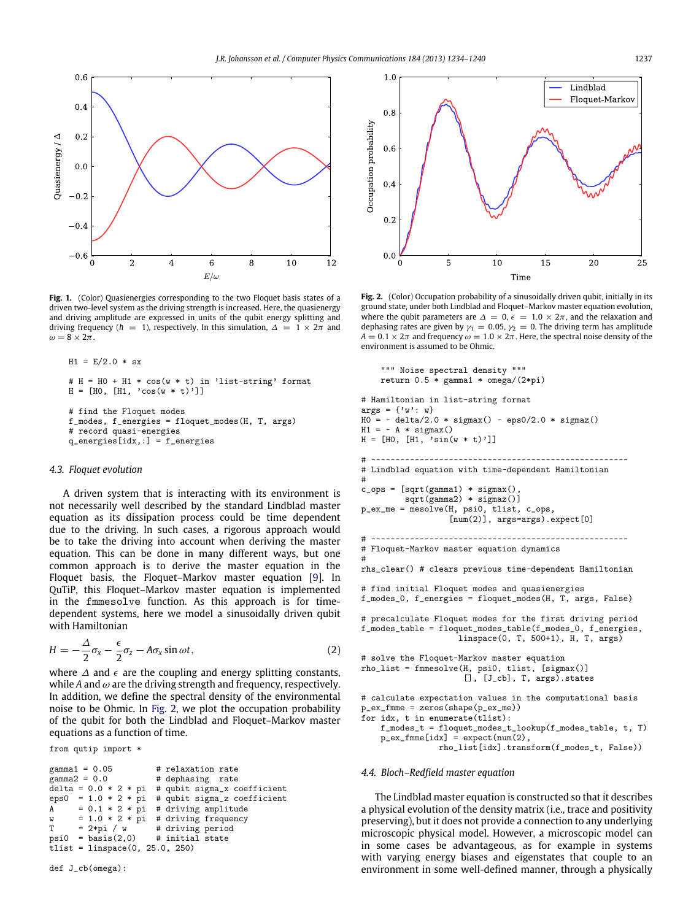<span id="page-3-0"></span>

**Fig. 1.** (Color) Quasienergies corresponding to the two Floquet basis states of a driven two-level system as the driving strength is increased. Here, the quasienergy and driving amplitude are expressed in units of the qubit energy splitting and driving frequency ( $\hbar = 1$ ), respectively. In this simulation,  $\Delta = 1 \times 2\pi$  and  $\omega = 8 \times 2\pi$ .

 $H1 = E/2.0 * sx$ 

```
# H = HO + H1 * cos(w * t) in 'list-string' format
H = [HO, [H1, 'cos(w * t)']]# find the Floquet modes
f_modes, f_energies = floquet_modes(H, T, args)
# record quasi-energies
q_energies[idx,:] = f_energies
```
#### *4.3. Floquet evolution*

A driven system that is interacting with its environment is not necessarily well described by the standard Lindblad master equation as its dissipation process could be time dependent due to the driving. In such cases, a rigorous approach would be to take the driving into account when deriving the master equation. This can be done in many different ways, but one common approach is to derive the master equation in the Floquet basis, the Floquet–Markov master equation [\[9\]](#page-6-9). In QuTiP, this Floquet–Markov master equation is implemented in the fmmesolve function. As this approach is for timedependent systems, here we model a sinusoidally driven qubit with Hamiltonian

$$
H = -\frac{\Delta}{2}\sigma_x - \frac{\epsilon}{2}\sigma_z - A\sigma_x \sin \omega t, \qquad (2)
$$

where  $\Delta$  and  $\epsilon$  are the coupling and energy splitting constants, while  $A$  and  $\omega$  are the driving strength and frequency, respectively. In addition, we define the spectral density of the environmental noise to be Ohmic. In [Fig. 2,](#page-3-1) we plot the occupation probability of the qubit for both the Lindblad and Floquet–Markov master equations as a function of time.

```
from qutip import *
```

```
gamma1 = 0.05 # relaxation rate<br>gamma2 = 0.0 # dephasing rate
gamma2 = 0.0 # dephasing rate<br>delta = 0.0 * 2 * pi # qubit sigma_x c
delta = 0.0 * 2 * pi # qubit sigma_x coefficient<br>eps0 = 1.0 * 2 * pi # qubit sigma_z coefficient
eps0 = 1.0 * 2 * pi # qubit sigma_z coefficient<br>A = 0.1 * 2 * pi # driving amplitude
A = 0.1 * 2 * pi # driving amplitude<br>\n<i>w</i> = 1.0 * 2 * pi # driving frequencyw = 1.0 * 2 * pi + driving frequency<br>
T = 2 * pi / w + driving periodT = 2*pi / w # driving period<br>psi0 = basis(2,0) # initial state
                                      # initial state
tlist = linspace(0, 25.0, 250)
```

```
def J_cb(omega):
```
<span id="page-3-1"></span>

Fig. 2. (Color) Occupation probability of a sinusoidally driven qubit, initially in its ground state, under both Lindblad and Floquet–Markov master equation evolution, where the qubit parameters are  $\Delta = 0$ ,  $\epsilon = 1.0 \times 2\pi$ , and the relaxation and dephasing rates are given by  $\gamma_1 = 0.05$ ,  $\gamma_2 = 0$ . The driving term has amplitude  $A = 0.1 \times 2\pi$  and frequency  $\omega = 1.0 \times 2\pi$ . Here, the spectral noise density of the environment is assumed to be Ohmic.

```
""" Noise spectral density """
    return 0.5 * gamma1 * omega/(2*pi)
# Hamiltonian in list-string format
args = {'w': w}HO = - delta/2.0 * sigma(0 -eps0/2.0 * sigma(0))H1 = - A * sigmaX()H = [HO, [H1, \times \sin(w * t)']]# -----------------------------------------------------
# Lindblad equation with time-dependent Hamiltonian
#
c_{\texttt{ops}} = [sqrt(gamma1) * sigma(x)]sqrt(gamma2) * sigmaz()]
p_ex_me = mesolve(H, psi0, tlist, c_ops,
                   [num(2)], args=args).expect[0]
# -----------------------------------------------------
# Floquet-Markov master equation dynamics
#
rhs_clear() # clears previous time-dependent Hamiltonian
# find initial Floquet modes and quasienergies
f_modes_0, f_energies = floquet_modes(H, T, args, False)
# precalculate Floquet modes for the first driving period
f_modes_table = floquet_modes_table(f_modes_0, f_energies,
                    linspace(0, T, 500+1), H, T, args)
# solve the Floquet-Markov master equation
rho_list = fmmesolve(H, psi0, tlist, [sigmax()]
                      [], [J_cb], T, args).states
# calculate expectation values in the computational basis
p_ex_fmme = zeros(shape(p_ex_me))
for idx, t in enumerate(tlist):
    f_modes_t = floquet_modes_t_lookup(f_modes_table, t, T)
    p_{ex_{m}} = [idx] = expect(num(2)),
```
rho\_list[idx].transform(f\_modes\_t, False))

#### *4.4. Bloch–Redfield master equation*

The Lindblad master equation is constructed so that it describes a physical evolution of the density matrix (i.e., trace and positivity preserving), but it does not provide a connection to any underlying microscopic physical model. However, a microscopic model can in some cases be advantageous, as for example in systems with varying energy biases and eigenstates that couple to an environment in some well-defined manner, through a physically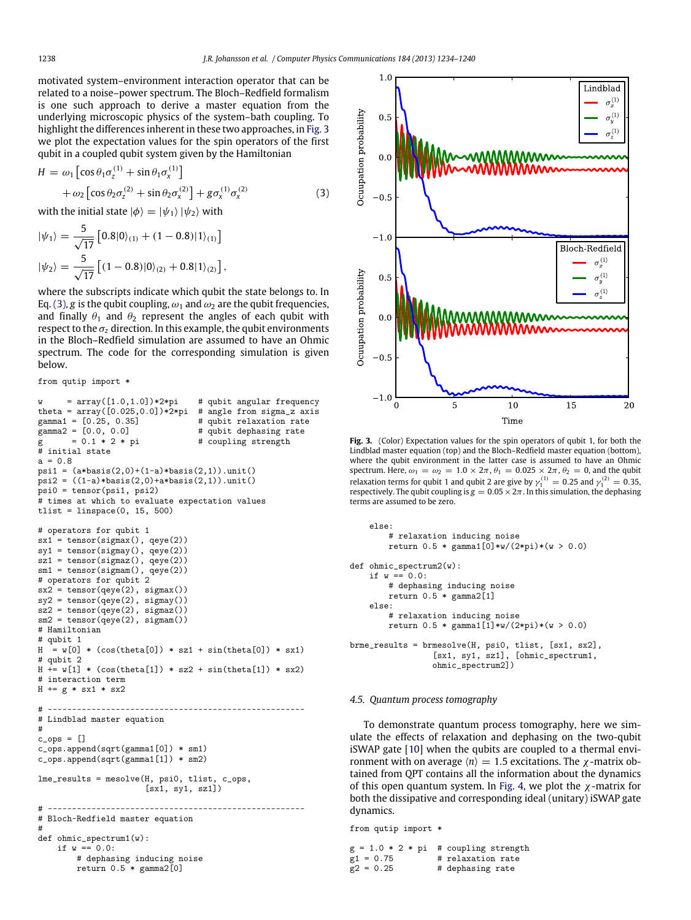motivated system–environment interaction operator that can be related to a noise–power spectrum. The Bloch–Redfield formalism is one such approach to derive a master equation from the underlying microscopic physics of the system–bath coupling. To highlight the differences inherent in these two approaches, in [Fig. 3](#page-4-0) we plot the expectation values for the spin operators of the first qubit in a coupled qubit system given by the Hamiltonian

$$
H = \omega_1 \left[ \cos \theta_1 \sigma_2^{(1)} + \sin \theta_1 \sigma_3^{(1)} \right] + \omega_2 \left[ \cos \theta_2 \sigma_2^{(2)} + \sin \theta_2 \sigma_3^{(2)} \right] + g \sigma_3^{(1)} \sigma_3^{(2)}
$$
(3)

with the initial state  $|\phi\rangle = |\psi_1\rangle |\psi_2\rangle$  with

$$
|\psi_1\rangle = \frac{5}{\sqrt{17}} [0.8|0\rangle_{(1)} + (1 - 0.8)|1\rangle_{(1)}]
$$
  

$$
|\psi_2\rangle = \frac{5}{\sqrt{17}} [(1 - 0.8)|0\rangle_{(2)} + 0.8|1\rangle_{(2)}],
$$

where the subscripts indicate which qubit the state belongs to. In Eq. [\(3\),](#page-4-1) *g* is the qubit coupling,  $\omega_1$  and  $\omega_2$  are the qubit frequencies, and finally  $\theta_1$  and  $\theta_2$  represent the angles of each qubit with respect to the  $\sigma$ <sub>z</sub> direction. In this example, the qubit environments in the Bloch–Redfield simulation are assumed to have an Ohmic spectrum. The code for the corresponding simulation is given below.

```
from qutip import *
```

```
w = \arctan((1.0, 1.0]) * 2 * pi + qubit angular frequencytheta = array([0.025, 0.0]) * 2 * pi # angle from sigma_z axis<br>
gamma = [0.25, 0.35] # qubit relaxation rate
gamma1 = [0.25, 0.35]<br>gamma2 = [0.0, 0.0]= [0.0, 0.0] # qubit dephasing rate<br>= 0.1 * 2 * pi # coupling strength
g = 0.1 * 2 * pi # coupling strength
# initial state
a = 0.8psi1 = (a*basis(2,0)+(1-a)*basis(2,1)).unit()
psi2 = ((1-a)*basis(2,0)+a*basis(2,1)) .unit()psi0 = tensor(psi1, psi2)
# times at which to evaluate expectation values
tlist = linspace(0, 15, 500)# operators for qubit 1
sx1 = tensor(sigma(), qeye(2))sy1 = tensor(sigmay(), qeye(2))
sz1 = tensor(sigma(), qeye(2))sm1 = tensor(sigmam(), qeye(2))
# operators for qubit 2
sx2 = tensor(qeye(2), sigma(x))sy2 = tensor(qeye(2), sigmay())sz2 = tensor(qeye(2), sigmaz())sm2 = tensor(qeye(2), sigma())# Hamiltonian
# qubit 1<br>H = w[0]\bar{y} = w[0] * (cos(theta[0]) * sz1 + sin(theta[0]) * sx1)# qubit 2
H = w[1] * (cos(theta[1]) * sz2 + sin(theta[1]) * sx2)# interaction term
H = g * sx1 * sx2# -----------------------------------------------------
# Lindblad master equation
#
c_{ops} = []c_ops.append(sqrt(gamma1[0]) * sm1)
c_ops.append(sqrt(gamma1[1]) * sm2)
lme_results = mesolve(H, psi0, tlist, c_ops,
                        [sx1, sy1, sz1]# -----------------------------------------------------
# Bloch-Redfield master equation
#
def ohmic_spectrum1(w):
    if w == 0.0:
        # dephasing inducing noise
```
return 0.5 \* gamma2[0]

<span id="page-4-1"></span><span id="page-4-0"></span>

**Fig. 3.** (Color) Expectation values for the spin operators of qubit 1, for both the Lindblad master equation (top) and the Bloch–Redfield master equation (bottom), where the qubit environment in the latter case is assumed to have an Ohmic spectrum. Here,  $\omega_1 = \omega_2 = 1.0 \times 2\pi$ ,  $\theta_1 = 0.025 \times 2\pi$ ,  $\theta_2 = 0$ , and the qubit relaxation terms for qubit 1 and qubit 2 are give by  $\gamma_1^{(1)} = 0.25$  and  $\gamma_1^{(2)} = 0.35$ , respectively. The qubit coupling is  $g = 0.05 \times 2\pi$ . In this simulation, the dephasing terms are assumed to be zero.

```
else:
        # relaxation inducing noise
        return 0.5 * \text{gamma}([0]*w/(2*pi)*(w > 0.0)def ohmic_spectrum2(w):
    if w == 0.0:
        # dephasing inducing noise
        return 0.5 * gamma2[1]
    else:
        # relaxation inducing noise
        return 0.5 * \text{gamma1}[1]*w/(2*pi)*(w > 0.0)brme_results = brmesolve(H, psi0, tlist, [sx1, sx2],
                  [sx1, sy1, sz1], [ohmic_spectrum1,
                  ohmic_spectrum2])
```
#### *4.5. Quantum process tomography*

To demonstrate quantum process tomography, here we simulate the effects of relaxation and dephasing on the two-qubit iSWAP gate [\[10\]](#page-6-10) when the qubits are coupled to a thermal environment with on average  $\langle n \rangle = 1.5$  excitations. The  $\chi$ -matrix obtained from QPT contains all the information about the dynamics of this open quantum system. In [Fig. 4,](#page-5-0) we plot the  $\chi$ -matrix for both the dissipative and corresponding ideal (unitary) iSWAP gate dynamics.

```
from qutip import *
```

```
g = 1.0 * 2 * pi # coupling strength<br>g1 = 0.75 # relaxation rateg1 = 0.75 # relaxation rate<br>g2 = 0.25 # dephasing rate
                            # dephasing rate
```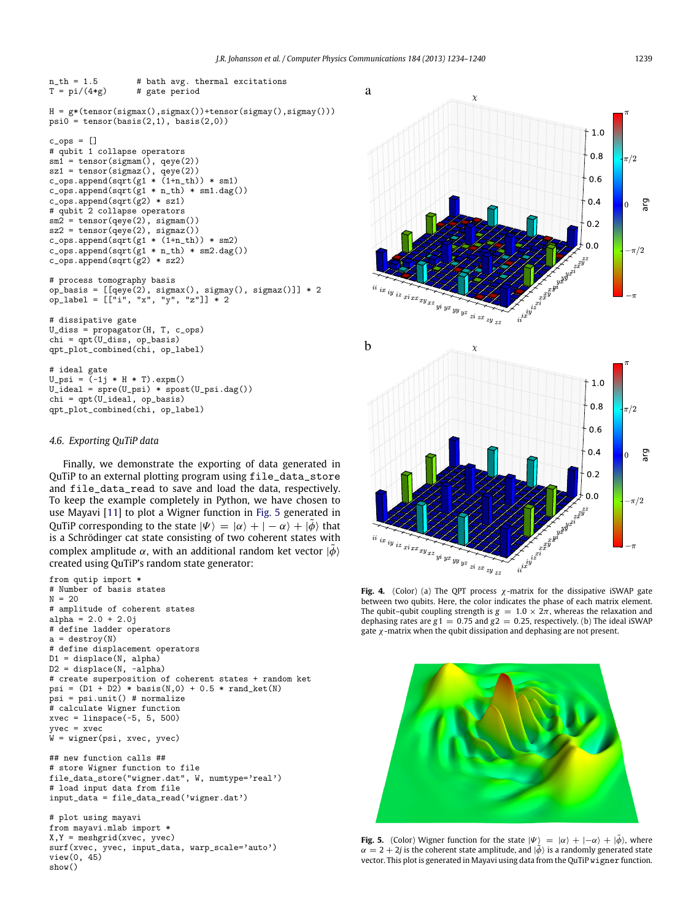```
n_{th} = 1.5 # bath avg. thermal excitations<br>T = pi/(4*g) # gate period
                      # gate period
H = g*(tensor(sigmax(),sigmax())+tensor(sigmay(),sigmay()))
psi = tensor(basis(2,1), basis(2,0))c_{\text{op}}s = []# qubit 1 collapse operators
sm1 = tensor(sigmam(), qeye(2))
sz1 = tensor(sigma(), qeye(2))c_{\texttt{ops.append}}(sqrt(\texttt{g1} * (1+n_{\texttt{th}})) * \texttt{sm1})c_{\texttt{ops.append}}(sqrt(g1 * n_{\texttt{th}}) * sm1.dag())c_{\texttt{ops.append}}(sqrt(c_{\texttt{grt}}(g2) * sz1))# qubit 2 collapse operators
\sin^2 = tensor(qeye(2), sigmam())
sz2 = tensor(qeye(2), sigmax())c_{\texttt{ops.append}}(sqrt(g1 * (1+n_{\texttt{th}})) * sm2)c_\text{ops.append(sqrt(g1 * n_th) * sm2.dag())c_\text{obs.append(sqrt(g2) * sz2)}# process tomography basis
op\_basis = [[qeye(2), sigmax(), sigmay(), sigmax()]] * 2op\_label = [["i", "x", "y", "z"]] * 2# dissipative gate
U_diss = propagator(H, T, c_ops)
chi = qpt(U_diss, op_basis)qpt_plot_combined(chi, op_label)
# ideal gate
U_psi = (-1j * H * T).expm()
U_{\text{ideal}} = \text{spre}(U_{\text{psi}}) * \text{spost}(U_{\text{psi}}.\text{dag}())chi = qpt(U_ideal, op_basis)qpt_plot_combined(chi, op_label)
```
#### *4.6. Exporting QuTiP data*

Finally, we demonstrate the exporting of data generated in QuTiP to an external plotting program using file\_data\_store and file\_data\_read to save and load the data, respectively. To keep the example completely in Python, we have chosen to use Mayavi [\[11\]](#page-6-11) to plot a Wigner function in [Fig. 5](#page-5-1) generated in QuTiP corresponding to the state  $|\Psi\rangle = |\alpha\rangle + |-\alpha\rangle + |\tilde{\phi}\rangle$  that is a Schrödinger cat state consisting of two coherent states with complex amplitude  $\alpha$ , with an additional random ket vector  $|\phi\rangle$ created using QuTiP's random state generator:

```
from qutip import *
# Number of basis states
N = 20# amplitude of coherent states
alpha = 2.0 + 2.0j# define ladder operators
a = destroy(N)
# define displacement operators
D1 = displace(N, alpha)
D2 = displace(N, -alpha)
# create superposition of coherent states + random ket
psi = (D1 + D2) * basis(N,0) + 0.5 * rand\_ket(N)psi = psi.unit() # normalize
# calculate Wigner function
xvec = linspace(-5, 5, 500)
yvec = xvecW = wigner(psi, xvec, yvec)
## new function calls ##
# store Wigner function to file
file_data_store("wigner.dat", W, numtype='real')
# load input data from file
input_data = file_data_read('wigner.dat')
# plot using mayavi
```
from mayavi.mlab import \*  $X, Y = meshgrid(xvec, yvec)$ surf(xvec, yvec, input\_data, warp\_scale='auto') view(0, 45) show()

<span id="page-5-0"></span>

**Fig. 4.** (Color) (a) The QPT process  $\chi$ -matrix for the dissipative iSWAP gate between two qubits. Here, the color indicates the phase of each matrix element. The qubit–qubit coupling strength is  $g = 1.0 \times 2\pi$ , whereas the relaxation and dephasing rates are  $g1 = 0.75$  and  $g2 = 0.25$ , respectively. (b) The ideal iSWAP gate  $\chi$ -matrix when the qubit dissipation and dephasing are not present.

<span id="page-5-1"></span>

**Fig. 5.** (Color) Wigner function for the state  $|\Psi\rangle = |\alpha\rangle + |-\alpha\rangle + |\tilde{\phi}\rangle$ , where  $\alpha = 2 + 2j$  is the coherent state amplitude, and  $|\tilde{\phi}\rangle$  is a randomly generated state vector. This plot is generated in Mayavi using data from the QuTiP wigner function.